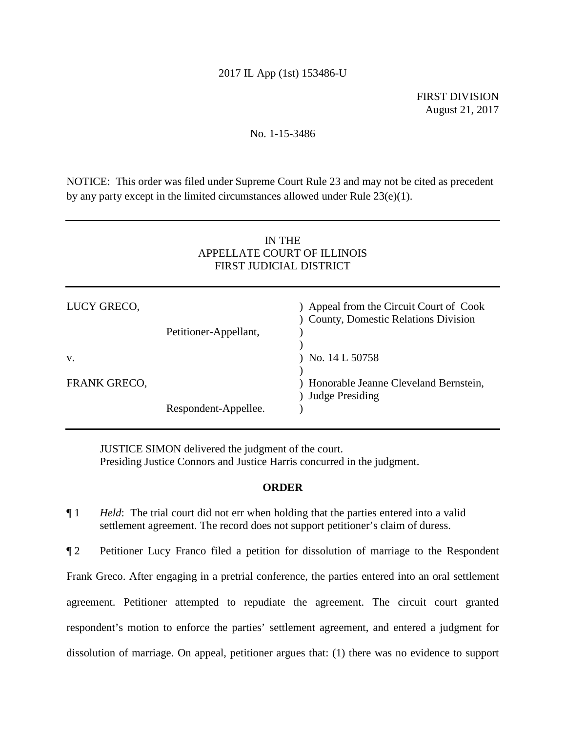## 2017 IL App (1st) 153486-U

FIRST DIVISION August 21, 2017

## No. 1-15-3486

NOTICE: This order was filed under Supreme Court Rule 23 and may not be cited as precedent by any party except in the limited circumstances allowed under Rule 23(e)(1).

# IN THE APPELLATE COURT OF ILLINOIS FIRST JUDICIAL DISTRICT

| LUCY GRECO,  | Petitioner-Appellant, | ) Appeal from the Circuit Court of Cook<br>) County, Domestic Relations Division |
|--------------|-----------------------|----------------------------------------------------------------------------------|
| V.           |                       | $)$ No. 14 L 50758                                                               |
| FRANK GRECO, |                       | ) Honorable Jeanne Cleveland Bernstein,<br>) Judge Presiding                     |
|              | Respondent-Appellee.  |                                                                                  |

JUSTICE SIMON delivered the judgment of the court. Presiding Justice Connors and Justice Harris concurred in the judgment.

#### **ORDER**

¶ 1 *Held*: The trial court did not err when holding that the parties entered into a valid settlement agreement. The record does not support petitioner's claim of duress.

¶ 2 Petitioner Lucy Franco filed a petition for dissolution of marriage to the Respondent Frank Greco. After engaging in a pretrial conference, the parties entered into an oral settlement agreement. Petitioner attempted to repudiate the agreement. The circuit court granted respondent's motion to enforce the parties' settlement agreement, and entered a judgment for dissolution of marriage. On appeal, petitioner argues that: (1) there was no evidence to support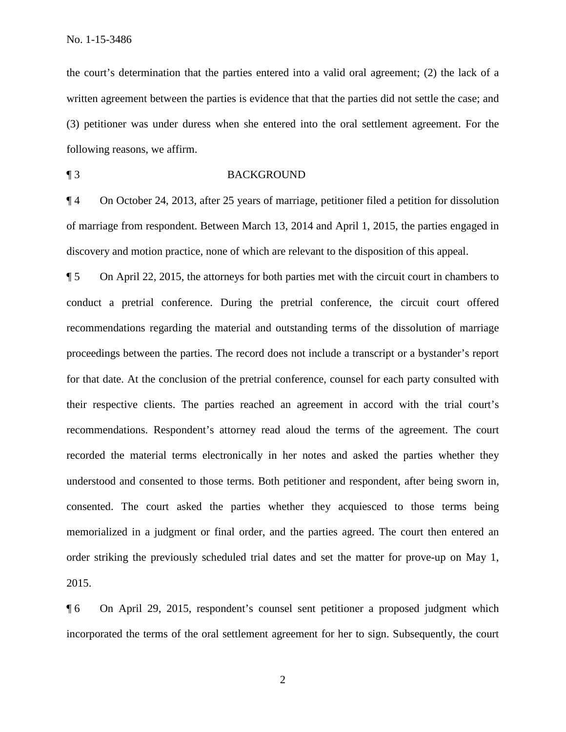the court's determination that the parties entered into a valid oral agreement; (2) the lack of a written agreement between the parties is evidence that that the parties did not settle the case; and (3) petitioner was under duress when she entered into the oral settlement agreement. For the following reasons, we affirm.

### ¶ 3 BACKGROUND

¶ 4 On October 24, 2013, after 25 years of marriage, petitioner filed a petition for dissolution of marriage from respondent. Between March 13, 2014 and April 1, 2015, the parties engaged in discovery and motion practice, none of which are relevant to the disposition of this appeal.

¶ 5 On April 22, 2015, the attorneys for both parties met with the circuit court in chambers to conduct a pretrial conference. During the pretrial conference, the circuit court offered recommendations regarding the material and outstanding terms of the dissolution of marriage proceedings between the parties. The record does not include a transcript or a bystander's report for that date. At the conclusion of the pretrial conference, counsel for each party consulted with their respective clients. The parties reached an agreement in accord with the trial court's recommendations. Respondent's attorney read aloud the terms of the agreement. The court recorded the material terms electronically in her notes and asked the parties whether they understood and consented to those terms. Both petitioner and respondent, after being sworn in, consented. The court asked the parties whether they acquiesced to those terms being memorialized in a judgment or final order, and the parties agreed. The court then entered an order striking the previously scheduled trial dates and set the matter for prove-up on May 1, 2015.

¶ 6 On April 29, 2015, respondent's counsel sent petitioner a proposed judgment which incorporated the terms of the oral settlement agreement for her to sign. Subsequently, the court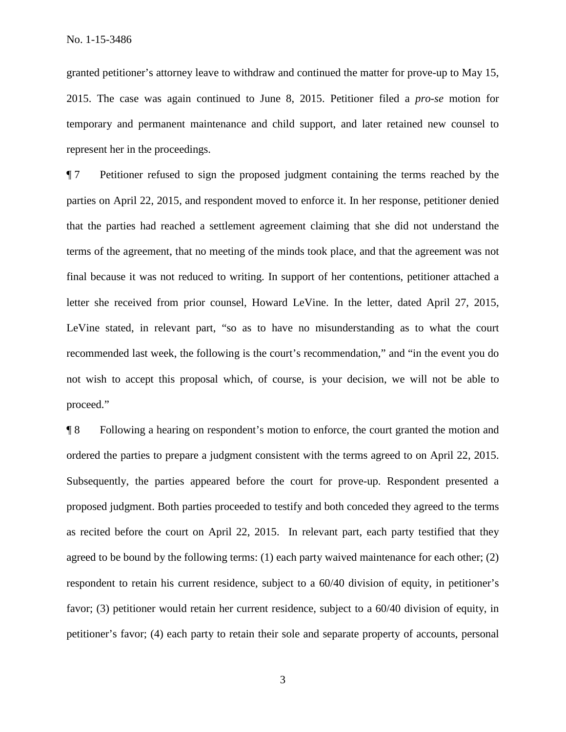granted petitioner's attorney leave to withdraw and continued the matter for prove-up to May 15, 2015. The case was again continued to June 8, 2015. Petitioner filed a *pro-se* motion for temporary and permanent maintenance and child support, and later retained new counsel to represent her in the proceedings.

¶ 7 Petitioner refused to sign the proposed judgment containing the terms reached by the parties on April 22, 2015, and respondent moved to enforce it. In her response, petitioner denied that the parties had reached a settlement agreement claiming that she did not understand the terms of the agreement, that no meeting of the minds took place, and that the agreement was not final because it was not reduced to writing. In support of her contentions, petitioner attached a letter she received from prior counsel, Howard LeVine. In the letter, dated April 27, 2015, LeVine stated, in relevant part, "so as to have no misunderstanding as to what the court recommended last week, the following is the court's recommendation," and "in the event you do not wish to accept this proposal which, of course, is your decision, we will not be able to proceed."

¶ 8 Following a hearing on respondent's motion to enforce, the court granted the motion and ordered the parties to prepare a judgment consistent with the terms agreed to on April 22, 2015. Subsequently, the parties appeared before the court for prove-up. Respondent presented a proposed judgment. Both parties proceeded to testify and both conceded they agreed to the terms as recited before the court on April 22, 2015. In relevant part, each party testified that they agreed to be bound by the following terms: (1) each party waived maintenance for each other; (2) respondent to retain his current residence, subject to a 60/40 division of equity, in petitioner's favor; (3) petitioner would retain her current residence, subject to a 60/40 division of equity, in petitioner's favor; (4) each party to retain their sole and separate property of accounts, personal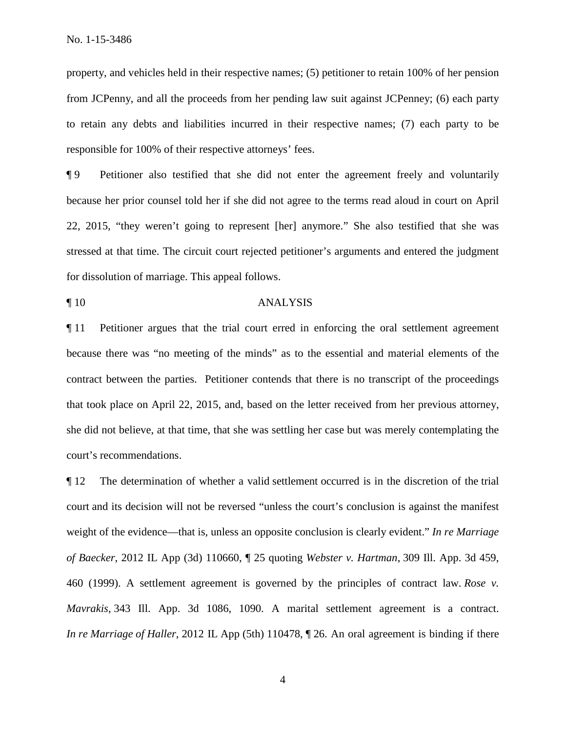property, and vehicles held in their respective names; (5) petitioner to retain 100% of her pension from JCPenny, and all the proceeds from her pending law suit against JCPenney; (6) each party to retain any debts and liabilities incurred in their respective names; (7) each party to be responsible for 100% of their respective attorneys' fees.

¶ 9 Petitioner also testified that she did not enter the agreement freely and voluntarily because her prior counsel told her if she did not agree to the terms read aloud in court on April 22, 2015, "they weren't going to represent [her] anymore." She also testified that she was stressed at that time. The circuit court rejected petitioner's arguments and entered the judgment for dissolution of marriage. This appeal follows.

#### ¶ 10 ANALYSIS

¶ 11 Petitioner argues that the trial court erred in enforcing the oral settlement agreement because there was "no meeting of the minds" as to the essential and material elements of the contract between the parties. Petitioner contends that there is no transcript of the proceedings that took place on April 22, 2015, and, based on the letter received from her previous attorney, she did not believe, at that time, that she was settling her case but was merely contemplating the court's recommendations.

¶ 12 The determination of whether a valid settlement occurred is in the discretion of the trial court and its decision will not be reversed "unless the court's conclusion is against the manifest weight of the evidence—that is, unless an opposite conclusion is clearly evident." *In re Marriage of Baecker*, 2012 IL App (3d) 110660, ¶ 25 quoting *Webster v. Hartman*, 309 Ill. App. 3d 459, 460 (1999). A settlement agreement is governed by the principles of contract law. *Rose v. Mavrakis*, 343 Ill. App. 3d 1086, 1090. A marital settlement agreement is a contract. *In re Marriage of Haller*, 2012 IL App (5th) 110478, ¶ 26. An oral agreement is binding if there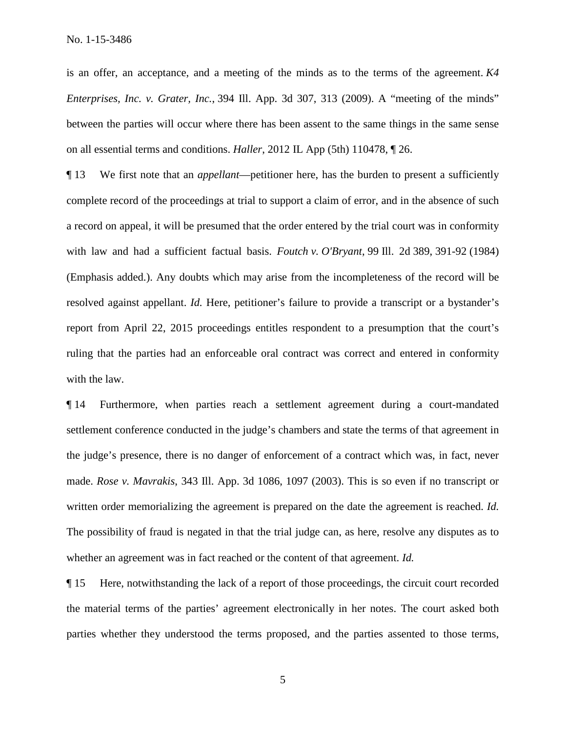is an offer, an acceptance, and a meeting of the minds as to the terms of the agreement. *K4 Enterprises, Inc. v. Grater, Inc.*, 394 Ill. App. 3d 307, 313 (2009). A "meeting of the minds" between the parties will occur where there has been assent to the same things in the same sense on all essential terms and conditions. *Haller*, 2012 IL App (5th) 110478, ¶ 26.

¶ 13 We first note that an *appellant*—petitioner here, has the burden to present a sufficiently complete record of the proceedings at trial to support a claim of error, and in the absence of such a record on appeal, it will be presumed that the order entered by the trial court was in conformity with law and had a sufficient factual basis. *Foutch v. O'Bryant*, 99 Ill. 2d 389, 391-92 (1984) (Emphasis added.). Any doubts which may arise from the incompleteness of the record will be resolved against appellant. *Id.* Here, petitioner's failure to provide a transcript or a bystander's report from April 22, 2015 proceedings entitles respondent to a presumption that the court's ruling that the parties had an enforceable oral contract was correct and entered in conformity with the law.

¶ 14 Furthermore, when parties reach a settlement agreement during a court-mandated settlement conference conducted in the judge's chambers and state the terms of that agreement in the judge's presence, there is no danger of enforcement of a contract which was, in fact, never made. *Rose v. Mavrakis*, 343 Ill. App. 3d 1086, 1097 (2003). This is so even if no transcript or written order memorializing the agreement is prepared on the date the agreement is reached. *Id.* The possibility of fraud is negated in that the trial judge can, as here, resolve any disputes as to whether an agreement was in fact reached or the content of that agreement. *Id.*

¶ 15 Here, notwithstanding the lack of a report of those proceedings, the circuit court recorded the material terms of the parties' agreement electronically in her notes. The court asked both parties whether they understood the terms proposed, and the parties assented to those terms,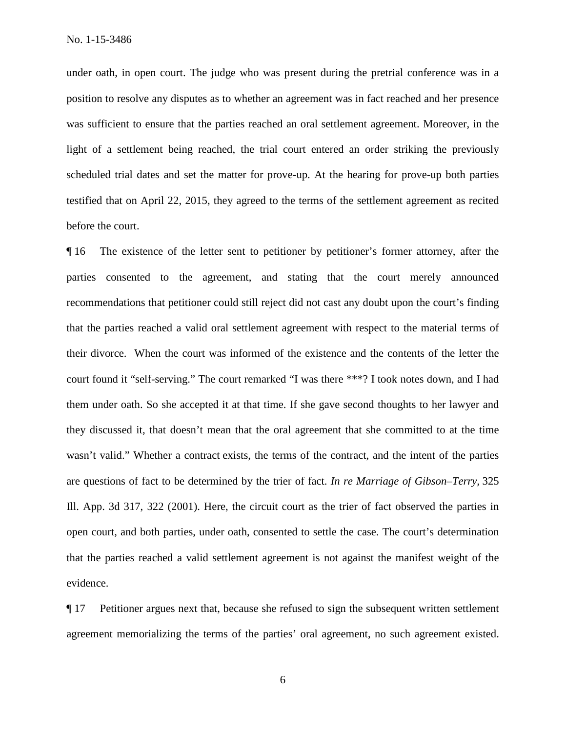under oath, in open court. The judge who was present during the pretrial conference was in a position to resolve any disputes as to whether an agreement was in fact reached and her presence was sufficient to ensure that the parties reached an oral settlement agreement. Moreover, in the light of a settlement being reached, the trial court entered an order striking the previously scheduled trial dates and set the matter for prove-up. At the hearing for prove-up both parties testified that on April 22, 2015, they agreed to the terms of the settlement agreement as recited before the court.

¶ 16 The existence of the letter sent to petitioner by petitioner's former attorney, after the parties consented to the agreement, and stating that the court merely announced recommendations that petitioner could still reject did not cast any doubt upon the court's finding that the parties reached a valid oral settlement agreement with respect to the material terms of their divorce. When the court was informed of the existence and the contents of the letter the court found it "self-serving." The court remarked "I was there \*\*\*? I took notes down, and I had them under oath. So she accepted it at that time. If she gave second thoughts to her lawyer and they discussed it, that doesn't mean that the oral agreement that she committed to at the time wasn't valid." Whether a contract exists, the terms of the contract, and the intent of the parties are questions of fact to be determined by the trier of fact. *In re Marriage of Gibson–Terry,* 325 Ill. App. 3d 317, 322 (2001). Here, the circuit court as the trier of fact observed the parties in open court, and both parties, under oath, consented to settle the case. The court's determination that the parties reached a valid settlement agreement is not against the manifest weight of the evidence.

¶ 17 Petitioner argues next that, because she refused to sign the subsequent written settlement agreement memorializing the terms of the parties' oral agreement, no such agreement existed.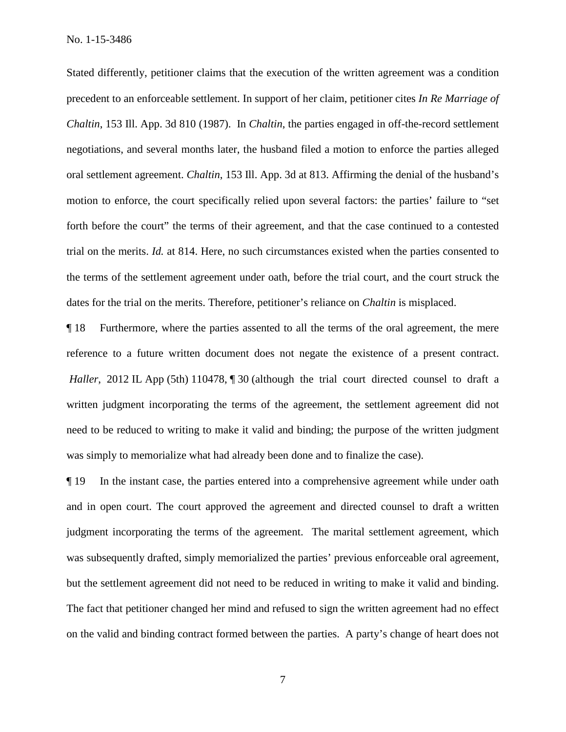Stated differently, petitioner claims that the execution of the written agreement was a condition precedent to an enforceable settlement. In support of her claim, petitioner cites *In Re Marriage of Chaltin*, 153 Ill. App. 3d 810 (1987). In *Chaltin*, the parties engaged in off-the-record settlement negotiations, and several months later, the husband filed a motion to enforce the parties alleged oral settlement agreement. *Chaltin*, 153 Ill. App. 3d at 813. Affirming the denial of the husband's motion to enforce, the court specifically relied upon several factors: the parties' failure to "set forth before the court" the terms of their agreement, and that the case continued to a contested trial on the merits. *Id.* at 814. Here, no such circumstances existed when the parties consented to the terms of the settlement agreement under oath, before the trial court, and the court struck the dates for the trial on the merits. Therefore, petitioner's reliance on *Chaltin* is misplaced.

¶ 18 Furthermore, where the parties assented to all the terms of the oral agreement, the mere reference to a future written document does not negate the existence of a present contract. *Haller*, 2012 IL App (5th) 110478, 1 30 (although the trial court directed counsel to draft a written judgment incorporating the terms of the agreement, the settlement agreement did not need to be reduced to writing to make it valid and binding; the purpose of the written judgment was simply to memorialize what had already been done and to finalize the case).

¶ 19 In the instant case, the parties entered into a comprehensive agreement while under oath and in open court. The court approved the agreement and directed counsel to draft a written judgment incorporating the terms of the agreement. The marital settlement agreement, which was subsequently drafted, simply memorialized the parties' previous enforceable oral agreement, but the settlement agreement did not need to be reduced in writing to make it valid and binding. The fact that petitioner changed her mind and refused to sign the written agreement had no effect on the valid and binding contract formed between the parties. A party's change of heart does not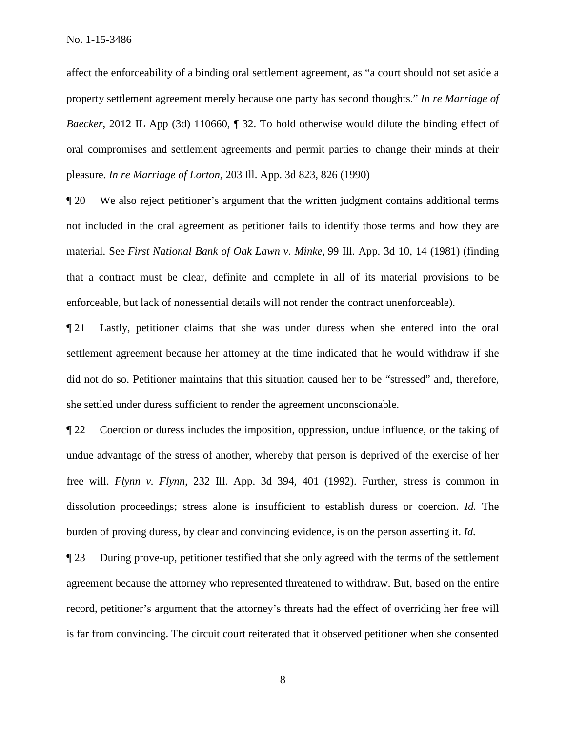affect the enforceability of a binding oral settlement agreement, as "a court should not set aside a property settlement agreement merely because one party has second thoughts." *In re Marriage of Baecker*, 2012 IL App (3d) 110660,  $\sqrt{ }$  32. To hold otherwise would dilute the binding effect of oral compromises and settlement agreements and permit parties to change their minds at their pleasure. *In re Marriage of Lorton*, 203 Ill. App. 3d 823, 826 (1990)

¶ 20 We also reject petitioner's argument that the written judgment contains additional terms not included in the oral agreement as petitioner fails to identify those terms and how they are material. See *First National Bank of Oak Lawn v. Minke*, 99 Ill. App. 3d 10, 14 (1981) (finding that a contract must be clear, definite and complete in all of its material provisions to be enforceable, but lack of nonessential details will not render the contract unenforceable).

¶ 21 Lastly, petitioner claims that she was under duress when she entered into the oral settlement agreement because her attorney at the time indicated that he would withdraw if she did not do so. Petitioner maintains that this situation caused her to be "stressed" and, therefore, she settled under duress sufficient to render the agreement unconscionable.

¶ 22 Coercion or duress includes the imposition, oppression, undue influence, or the taking of undue advantage of the stress of another, whereby that person is deprived of the exercise of her free will. *Flynn v. Flynn*, 232 Ill. App. 3d 394, 401 (1992). Further, stress is common in dissolution proceedings; stress alone is insufficient to establish duress or coercion. *Id.* The burden of proving duress, by clear and convincing evidence, is on the person asserting it. *Id.*

¶ 23 During prove-up, petitioner testified that she only agreed with the terms of the settlement agreement because the attorney who represented threatened to withdraw. But, based on the entire record, petitioner's argument that the attorney's threats had the effect of overriding her free will is far from convincing. The circuit court reiterated that it observed petitioner when she consented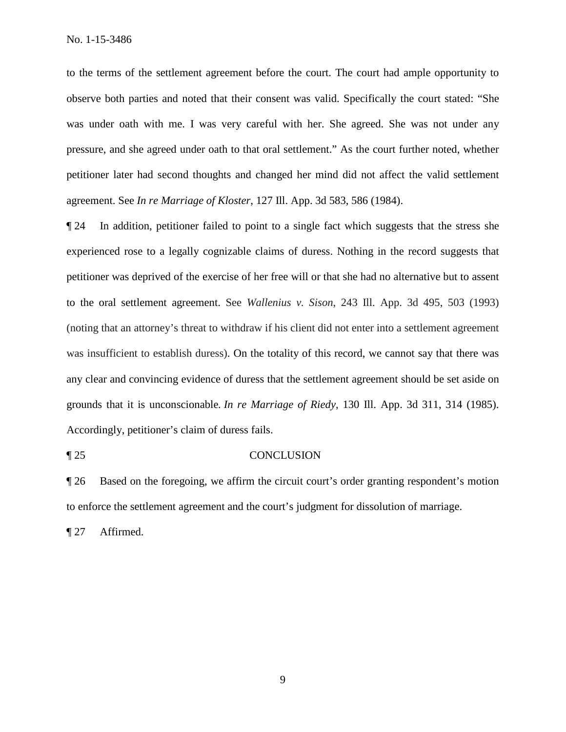to the terms of the settlement agreement before the court. The court had ample opportunity to observe both parties and noted that their consent was valid. Specifically the court stated: "She was under oath with me. I was very careful with her. She agreed. She was not under any pressure, and she agreed under oath to that oral settlement." As the court further noted, whether petitioner later had second thoughts and changed her mind did not affect the valid settlement agreement. See *In re Marriage of Kloster*, 127 Ill. App. 3d 583, 586 (1984).

¶ 24 In addition, petitioner failed to point to a single fact which suggests that the stress she experienced rose to a legally cognizable claims of duress. Nothing in the record suggests that petitioner was deprived of the exercise of her free will or that she had no alternative but to assent to the oral settlement agreement. See *Wallenius v. Sison*, 243 Ill. App. 3d 495, 503 (1993) (noting that an attorney's threat to withdraw if his client did not enter into a settlement agreement was insufficient to establish duress). On the totality of this record, we cannot say that there was any clear and convincing evidence of duress that the settlement agreement should be set aside on grounds that it is unconscionable*. In re Marriage of Riedy*, 130 Ill. App. 3d 311, 314 (1985). Accordingly, petitioner's claim of duress fails.

#### ¶ 25 CONCLUSION

¶ 26 Based on the foregoing, we affirm the circuit court's order granting respondent's motion to enforce the settlement agreement and the court's judgment for dissolution of marriage.

¶ 27 Affirmed.